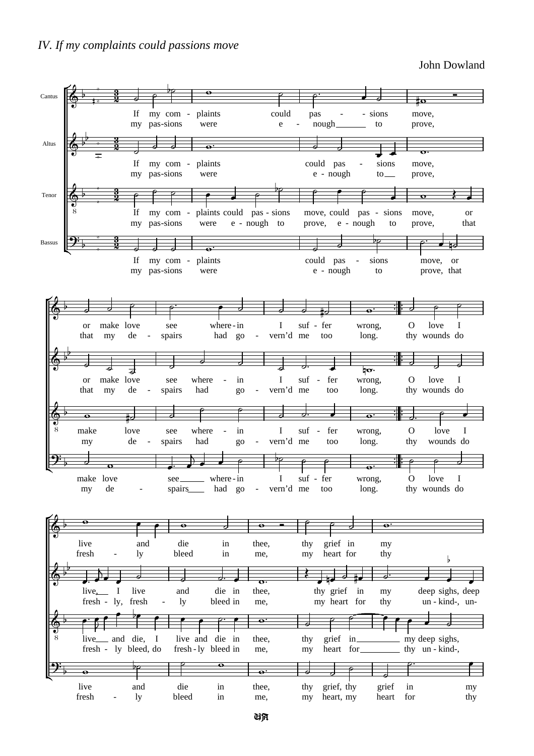John Dowland



UA